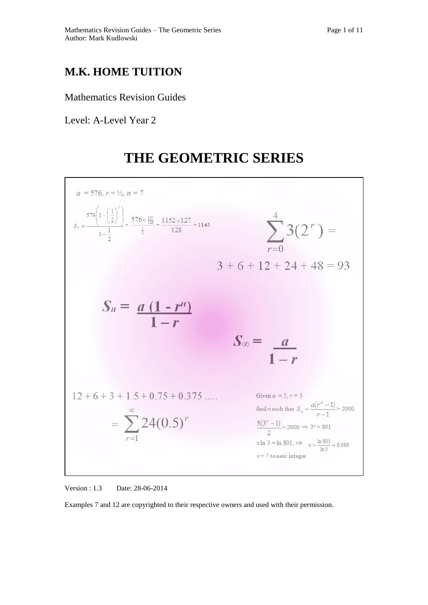# **M.K. HOME TUITION**

Mathematics Revision Guides

Level: A-Level Year 2

# **THE GEOMETRIC SERIES**



Version : 1.3 Date: 28-06-2014

Examples 7 and 12 are copyrighted to their respective owners and used with their permission.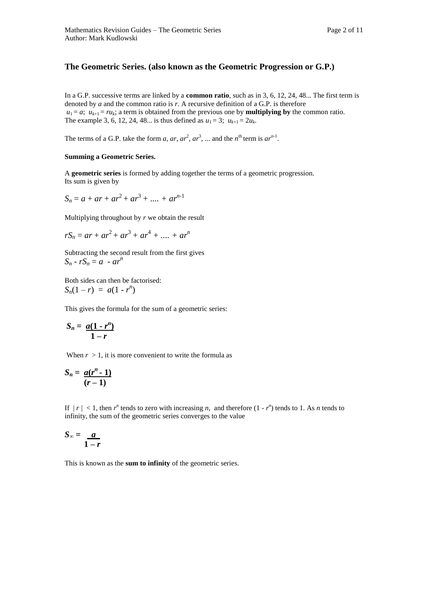# **The Geometric Series. (also known as the Geometric Progression or G.P.)**

In a G.P. successive terms are linked by a **common ratio**, such as in 3, 6, 12, 24, 48... The first term is denoted by *a* and the common ratio is *r.* A recursive definition of a G.P. is therefore  $u_1 = a$ ;  $u_{k+1} = ru_k$ ; a term is obtained from the previous one by **multiplying by** the common ratio. The example 3, 6, 12, 24, 48... is thus defined as  $u_1 = 3$ ;  $u_{k+1} = 2u_k$ .

The terms of a G.P. take the form *a*, *ar*,  $ar^2$ ,  $ar^3$ , ... and the *n*<sup>th</sup> term is  $ar^{n-1}$ .

#### **Summing a Geometric Series.**

A **geometric series** is formed by adding together the terms of a geometric progression. Its sum is given by

$$
S_n = a + ar + ar^2 + ar^3 + \dots + ar^{n-1}
$$

Multiplying throughout by *r* we obtain the result

$$
rS_n = ar + ar^2 + ar^3 + ar^4 + \dots + ar^n
$$

Subtracting the second result from the first gives  $S_n$  -  $rS_n = a - ar^n$ 

Both sides can then be factorised:  $S_n(1 - r) = a(1 - r^n)$ 

This gives the formula for the sum of a geometric series:

$$
S_n = \frac{a(1-r^n)}{1-r}
$$

When  $r > 1$ , it is more convenient to write the formula as

$$
S_n = \frac{a(r^n-1)}{(r-1)}
$$

If  $|r / < 1$ , then *r*<sup>n</sup> tends to zero with increasing *n*, and therefore  $(1 - r^n)$  tends to 1. As *n* tends to infinity, the sum of the geometric series converges to the value

$$
S_{\infty} = \frac{a}{1-r}
$$

This is known as the **sum to infinity** of the geometric series.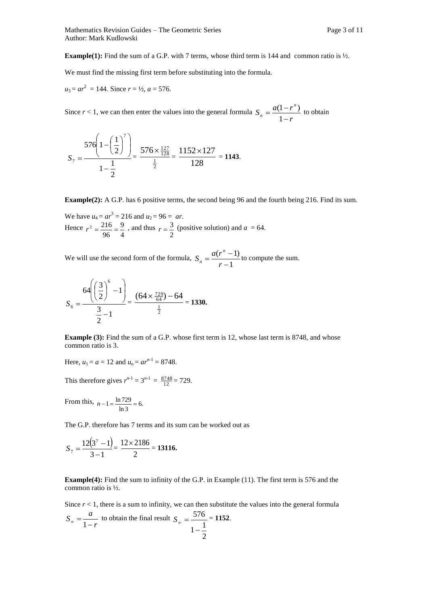**Example(1):** Find the sum of a G.P. with 7 terms, whose third term is 144 and common ratio is  $\frac{1}{2}$ .

We must find the missing first term before substituting into the formula.

$$
u_3 = ar^2 = 144
$$
. Since  $r = \frac{1}{2}$ ,  $a = 576$ .

Since  $r < 1$ , we can then enter the values into the general formula *r*  $S_n = \frac{a(1 - r)}{r}$ *n*  $n - 1 =\frac{a(1-1)}{1-1}$ 1  $\frac{(1 - r^n)}{r}$  to obtain

$$
S_7 = \frac{576\left(1 - \left(\frac{1}{2}\right)^7\right)}{1 - \frac{1}{2}} = \frac{576 \times \frac{127}{128}}{\frac{1}{2}} = \frac{1152 \times 127}{128} = 1143.
$$

**Example(2):** A G.P. has 6 positive terms, the second being 96 and the fourth being 216. Find its sum.

We have  $u_4 = ar^3 = 216$  and  $u_2 = 96 = ar$ . Hence 4 9 96  $r^2 = \frac{216}{25} = \frac{9}{4}$ , and thus 2  $r = \frac{3}{2}$  (positive solution) and  $a = 64$ .

We will use the second form of the formula, 1  $(r^n - 1)$  $\overline{a}$  $=\frac{a(r^n-1)}{2}$ *r*  $S_n = \frac{a(r)}{r}$ *n*  $\mu_n = \frac{\mu(1 - 1)}{n-1}$  to compute the sum.

$$
S_6 = \frac{64\left(\left(\frac{3}{2}\right)^6 - 1\right)}{\frac{3}{2} - 1} = \frac{(64 \times \frac{729}{64}) - 64}{\frac{1}{2}} = 1330.
$$

**Example (3):** Find the sum of a G.P. whose first term is 12, whose last term is 8748, and whose common ratio is 3.

Here,  $u_1 = a = 12$  and  $u_n = ar^{n-1} = 8748$ .

This therefore gives  $r^{n-1} = 3^{n-1} = \frac{8748}{12} = 729$ .

From this,  $n-1 = \frac{\ln 729}{\ln 3} = 6$ .  $n-1 = \frac{\ln 729}{12} =$ 

The G.P. therefore has 7 terms and its sum can be worked out as

$$
S_7 = \frac{12(3^7 - 1)}{3 - 1} = \frac{12 \times 2186}{2} = 13116.
$$

**Example(4):** Find the sum to infinity of the G.P. in Example (11). The first term is 576 and the common ratio is ½.

Since  $r < 1$ , there is a sum to infinity, we can then substitute the values into the general formula

$$
S_{\infty} = \frac{a}{1-r}
$$
 to obtain the final result  $S_{\infty} = \frac{576}{1-\frac{1}{2}} = 1152.$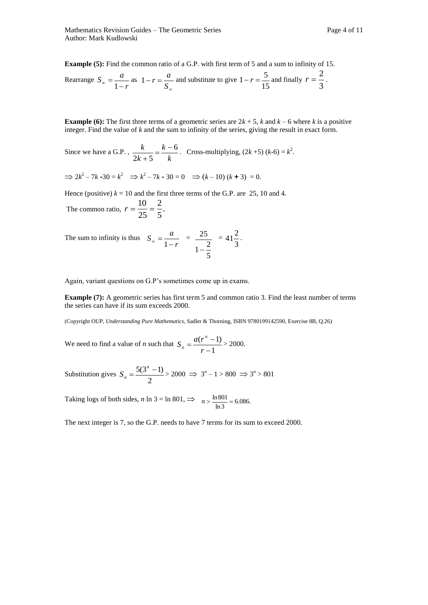**Example (5):** Find the common ratio of a G.P. with first term of 5 and a sum to infinity of 15.

Rearrange 
$$
S_{\infty} = \frac{a}{1-r}
$$
 as  $1-r = \frac{a}{S_{\infty}}$  and substitute to give  $1-r = \frac{5}{15}$  and finally  $r = \frac{2}{3}$ .

**Example (6):** The first three terms of a geometric series are  $2k + 5$ , *k* and  $k - 6$  where *k* is a positive integer. Find the value of *k* and the sum to infinity of the series, giving the result in exact form.

Since we have a G.P. , *k k k*  $k \t k-6$  $2k + 5$  $=\frac{k-1}{k}$  $\ddot{}$ . Cross-multiplying,  $(2k + 5)$   $(k-6) = k^2$ .

$$
\Rightarrow 2k^2 - 7k - 30 = k^2 \Rightarrow k^2 - 7k - 30 = 0 \Rightarrow (k - 10)(k + 3) = 0.
$$

Hence (positive)  $k = 10$  and the first three terms of the G.P. are 25, 10 and 4.

The common ratio, 
$$
r = \frac{10}{25} = \frac{2}{5}
$$
.

The sum to infinity is thus *r*  $S_{\infty} = \frac{a}{a}$  $\alpha = \frac{a}{1 - a}$ 1 = 5  $1 - \frac{2}{5}$ 25  $\overline{a}$  = 3  $41^{\frac{2}{3}}$ .

Again, variant questions on G.P's sometimes come up in exams.

**Example (7):** A geometric series has first term 5 and common ratio 3. Find the least number of terms the series can have if its sum exceeds 2000.

(Copyright OUP, *Understanding Pure Mathematics*, Sadler & Thorning, ISBN 9780199142590, Exercise 8B, Q.26)

We need to find a value of *n* such that 1  $(r^n - 1)$  $\overline{a}$  $=\frac{a(r^n-1)}{2}$ *r*  $S_n = \frac{a(r)}{r}$ *n*  $n = \frac{a(1)}{1} > 2000.$ 

Substitution gives 
$$
S_n = \frac{5(3^n - 1)}{2} > 2000 \Rightarrow 3^n - 1 > 800 \Rightarrow 3^n > 801
$$

Taking logs of both sides, *n* ln 3 = ln 801,  $\Rightarrow n > \frac{\ln 801}{\ln 3} = 6.086$ .  $n > \frac{\ln 801}{1}$ 

The next integer is 7, so the G.P. needs to have 7 terms for its sum to exceed 2000.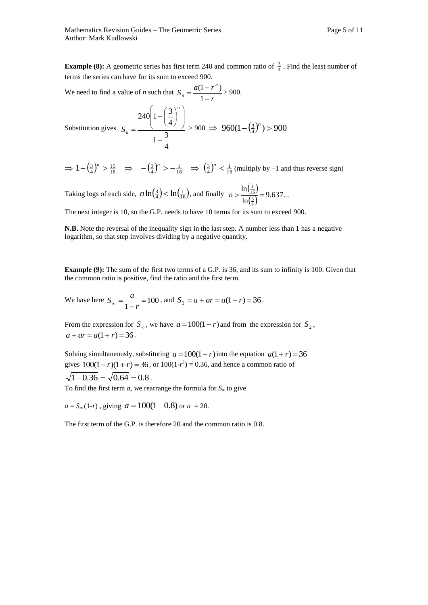**Example (8):** A geometric series has first term 240 and common ratio of  $\frac{3}{4}$ . Find the least number of terms the series can have for its sum to exceed 900.

We need to find a value of *n* such that *r*  $S_n = \frac{a(1 - r)}{1}$ *n*  $n - \frac{1}{1}$  $=\frac{a(1-1)}{1-1}$ 1  $\frac{(1-r^n)}{2}$  > 900.

Substitution gives 4  $1-\frac{3}{4}$ 4  $240 \left( 1 - \left( \frac{3}{2} \right) \right)$  $\overline{\phantom{0}}$  $\overline{\phantom{a}}$ J Ι  $\setminus$  $\mathsf{I}$ I  $\setminus$ ſ  $\overline{\phantom{a}}$ J  $\left(\frac{3}{4}\right)$  $\setminus$  $-\Big($  $=$ *n*  $S_n = \frac{(4/7)^n}{3} > 900 \Rightarrow 960(1 - (\frac{3}{4})^n) > 900$ 

 $\Rightarrow 1 - \left(\frac{3}{4}\right)^n > \frac{15}{16}$   $\Rightarrow -\left(\frac{3}{4}\right)^n > -\frac{1}{16}$   $\Rightarrow \left(\frac{3}{4}\right)^n < \frac{1}{16}$  (multiply by -1 and thus reverse sign)

Taking logs of each side,  $n \ln(\frac{3}{4}) < \ln(\frac{1}{16})$ , and finally  $n > \frac{\ln(\frac{1}{16})}{\sqrt{3}}$  $\left(\frac{3}{4}\right)$ 9.637... ln ln  $\frac{3}{4}$  $\frac{1}{16}$  $n > \frac{n(16)}{1} =$ 

The next integer is 10, so the G.P. needs to have 10 terms for its sum to exceed 900.

**N.B.** Note the reversal of the inequality sign in the last step. A number less than 1 has a negative logarithm, so that step involves dividing by a negative quantity.

**Example (9):** The sum of the first two terms of a G.P. is 36, and its sum to infinity is 100. Given that the common ratio is positive, find the ratio and the first term.

We have here  $S_{\infty} = \frac{u}{1} = 100$ 1  $=$  $\alpha = \frac{a}{1-a}$ *r*  $S_{\infty} = \frac{a}{1} = 100$ , and  $S_2 = a + ar = a(1 + r) = 36$ .

From the expression for  $S_\infty$ , we have  $a = 100(1 - r)$  and from the expression for  $S_2$ ,  $a + ar = a(1 + r) = 36.$ 

Solving simultaneously, substituting  $a = 100(1 - r)$  into the equation  $a(1 + r) = 36$ gives  $100(1 - r)(1 + r) = 36$ , or  $100(1 - r^2) = 0.36$ , and hence a common ratio of  $\sqrt{1 - 0.36} = \sqrt{0.64} = 0.8$ .

To find the first term  $a$ , we rearrange the formula for  $S_{\infty}$  to give

 $a = S_{\infty}(1-r)$ , giving  $a = 100(1-0.8)$  or  $a = 20$ .

The first term of the G.P. is therefore 20 and the common ratio is 0.8.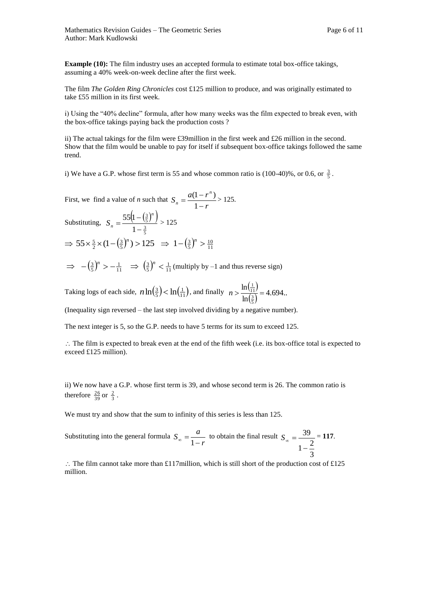**Example (10):** The film industry uses an accepted formula to estimate total box-office takings, assuming a 40% week-on-week decline after the first week.

The film *The Golden Ring Chronicles* cost £125 million to produce, and was originally estimated to take £55 million in its first week.

i) Using the "40% decline" formula, after how many weeks was the film expected to break even, with the box-office takings paying back the production costs ?

ii) The actual takings for the film were £39million in the first week and £26 million in the second. Show that the film would be unable to pay for itself if subsequent box-office takings followed the same trend.

i) We have a G.P. whose first term is 55 and whose common ratio is  $(100-40)$ %, or 0.6, or  $\frac{3}{5}$ .

First, we find a value of *n* such that *r*  $S_n = \frac{a(1 - r)}{r}$ *n*  $n - 1$  $=\frac{a(1-1)}{1-1}$ 1  $\frac{(1-r^n)}{2}$  > 125. Substituting,  $S_n = \frac{55(1 - (\frac{3}{5})^n)}{n}$  $\frac{3}{5}$  $\frac{3}{5}$ 1 551  $\overline{a}$  $\overline{a}$  $=$ *n*  $S_n = \frac{35(1)(5)}{1-3} > 125$  $\Rightarrow$  55 ×  $\frac{5}{2}$  × (1 -  $\left(\frac{3}{5}\right)^n$ ) > 125  $\Rightarrow$  1 -  $\left(\frac{3}{5}\right)^n$  >  $\frac{10}{11}$ 

 $\Rightarrow -\left(\frac{3}{5}\right)^n > -\frac{1}{11} \Rightarrow \left(\frac{3}{5}\right)^n < \frac{1}{11}$  (multiply by –1 and thus reverse sign)

Taking logs of each side,  $n \ln(\frac{3}{5}) < \ln(\frac{1}{11})$ , and finally  $n > \frac{\ln(\frac{1}{11})}{\sqrt{3}}$  $\left(\frac{3}{5}\right)$ 4.694.. ln ln  $\frac{3}{5}$  $\frac{1}{11}$  $n > \frac{n(11)}{1} =$ 

(Inequality sign reversed – the last step involved dividing by a negative number).

The next integer is 5, so the G.P. needs to have 5 terms for its sum to exceed 125.

 $\therefore$  The film is expected to break even at the end of the fifth week (i.e. its box-office total is expected to exceed £125 million).

ii) We now have a G.P. whose first term is 39, and whose second term is 26. The common ratio is therefore  $\frac{26}{39}$  or  $\frac{2}{3}$ .

We must try and show that the sum to infinity of this series is less than 125.

Substituting into the general formula 
$$
S_{\infty} = \frac{a}{1-r}
$$
 to obtain the final result  $S_{\infty} = \frac{39}{1-\frac{2}{3}} = 117$ .

 $\therefore$  The film cannot take more than £117 million, which is still short of the production cost of £125 million.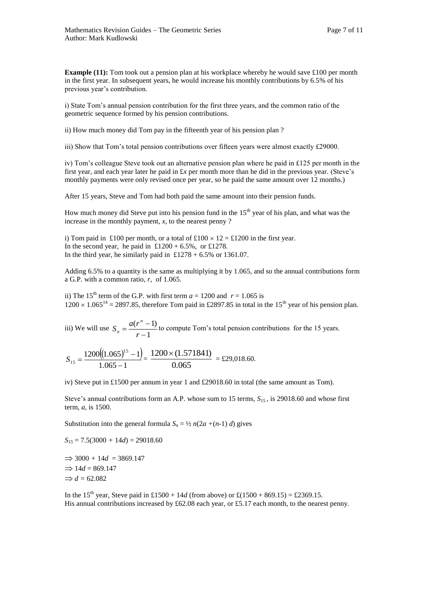**Example (11):** Tom took out a pension plan at his workplace whereby he would save £100 per month in the first year. In subsequent years, he would increase his monthly contributions by 6.5% of his previous year's contribution.

i) State Tom's annual pension contribution for the first three years, and the common ratio of the geometric sequence formed by his pension contributions.

ii) How much money did Tom pay in the fifteenth year of his pension plan ?

iii) Show that Tom's total pension contributions over fifteen years were almost exactly £29000.

iv) Tom's colleague Steve took out an alternative pension plan where he paid in £125 per month in the first year, and each year later he paid in £*x* per month more than he did in the previous year. (Steve's monthly payments were only revised once per year, so he paid the same amount over 12 months.)

After 15 years, Steve and Tom had both paid the same amount into their pension funds.

How much money did Steve put into his pension fund in the  $15<sup>th</sup>$  year of his plan, and what was the increase in the monthly payment, *x*, to the nearest penny ?

i) Tom paid in £100 per month, or a total of £100  $\times$  12 = £1200 in the first year. In the second year, he paid in  $£1200 + 6.5\%$ , or £1278. In the third year, he similarly paid in  $£1278 + 6.5\%$  or 1361.07.

Adding 6.5% to a quantity is the same as multiplying it by 1.065, and so the annual contributions form a G.P. with a common ratio, *r*, of 1.065.

ii) The 15<sup>th</sup> term of the G.P. with first term  $a = 1200$  and  $r = 1.065$  is  $1200 \times 1.065^{14} = 2897.85$ , therefore Tom paid in £2897.85 in total in the 15<sup>th</sup> year of his pension plan.

iii) We will use 1  $(r^n - 1)$  $\overline{a}$  $=\frac{a(r^n-1)}{a(r^n-1)}$ *r*  $S_n = \frac{a(r)}{r}$ *n*  $n_n = \frac{a(1 - 1)}{1}$  to compute Tom's total pension contributions for the 15 years.

$$
S_{15} = \frac{1200((1.065)^{15} - 1)}{1.065 - 1} = \frac{1200 \times (1.571841)}{0.065} = \text{\textsterling}29,018.60.
$$

iv) Steve put in £1500 per annum in year 1 and £29018.60 in total (the same amount as Tom).

Steve's annual contributions form an A.P. whose sum to 15 terms,  $S_{15}$ , is 29018.60 and whose first term, *a*, is 1500.

Substitution into the general formula  $S_n = \frac{1}{2}n(2a + (n-1)d)$  gives

$$
S_{15} = 7.5(3000 + 14d) = 29018.60
$$

 $\implies$  3000 + 14*d* = 3869.147  $\Rightarrow$  14*d* = 869.147  $\Rightarrow$  *d* = 62.082

In the 15<sup>th</sup> year, Steve paid in £1500 + 14*d* (from above) or £(1500 + 869.15) = £2369.15. His annual contributions increased by £62.08 each year, or £5.17 each month, to the nearest penny.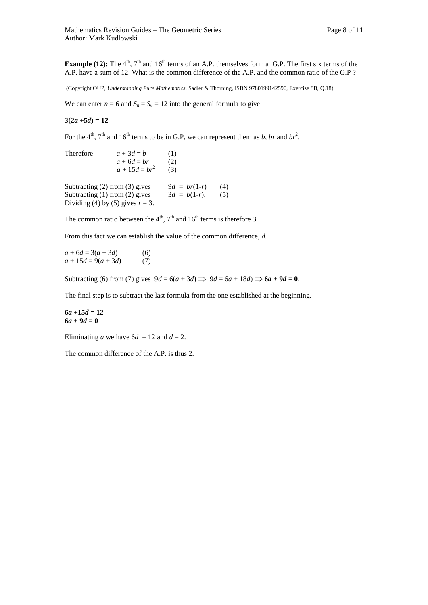**Example (12):** The  $4<sup>th</sup>$ ,  $7<sup>th</sup>$  and  $16<sup>th</sup>$  terms of an A.P. themselves form a G.P. The first six terms of the A.P. have a sum of 12. What is the common difference of the A.P. and the common ratio of the G.P ?

(Copyright OUP, *Understanding Pure Mathematics*, Sadler & Thorning, ISBN 9780199142590, Exercise 8B, Q.18)

We can enter  $n = 6$  and  $S_n = S_6 = 12$  into the general formula to give

#### $3(2a + 5d) = 12$

For the  $4^{\text{th}}$ ,  $7^{\text{th}}$  and  $16^{\text{th}}$  terms to be in G.P, we can represent them as *b*, *br* and  $br^2$ .

Therefore  $a + 3d = b$  (1)  $a + 6d = br$  (2)  $a + 15d = br^2$ (3) Subtracting (2) from (3) gives  $9d = br(1-r)$  (4) Subtracting (1) from (2) gives  $3d = b(1-r)$ . (5) Dividing (4) by (5) gives  $r = 3$ .

The common ratio between the  $4<sup>th</sup>$ ,  $7<sup>th</sup>$  and  $16<sup>th</sup>$  terms is therefore 3.

From this fact we can establish the value of the common difference, *d.*

 $a + 6d = 3(a + 3d)$  (6)  $a + 15d = 9(a + 3d)$  (7)

Subtracting (6) from (7) gives  $9d = 6(a + 3d) \implies 9d = 6a + 18d \implies 6a + 9d = 0$ .

The final step is to subtract the last formula from the one established at the beginning.

**6***a +***15***d* **= 12 6***a* **+ 9***d* **= 0**

Eliminating *a* we have  $6d = 12$  and  $d = 2$ .

The common difference of the A.P. is thus 2.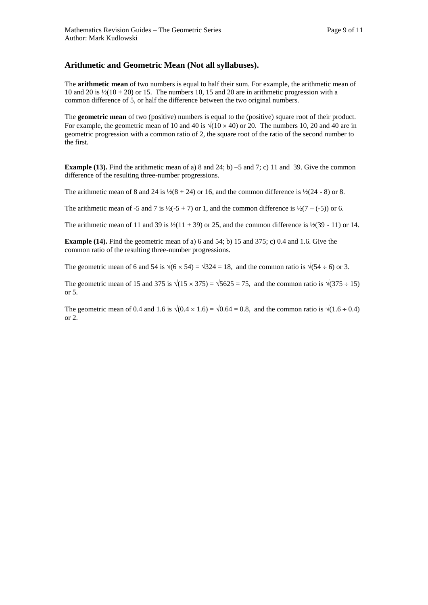### **Arithmetic and Geometric Mean (Not all syllabuses).**

The **arithmetic mean** of two numbers is equal to half their sum. For example, the arithmetic mean of 10 and 20 is  $\frac{1}{2}(10 + 20)$  or 15. The numbers 10, 15 and 20 are in arithmetic progression with a common difference of 5, or half the difference between the two original numbers.

The **geometric mean** of two (positive) numbers is equal to the (positive) square root of their product. For example, the geometric mean of 10 and 40 is  $\sqrt{(10 \times 40)}$  or 20. The numbers 10, 20 and 40 are in geometric progression with a common ratio of 2, the square root of the ratio of the second number to the first.

**Example (13).** Find the arithmetic mean of a) 8 and 24; b)  $-5$  and 7; c) 11 and 39. Give the common difference of the resulting three-number progressions.

The arithmetic mean of 8 and 24 is  $\frac{1}{2}(8 + 24)$  or 16, and the common difference is  $\frac{1}{2}(24 - 8)$  or 8.

The arithmetic mean of -5 and 7 is  $\frac{1}{2}$  (-5 + 7) or 1, and the common difference is  $\frac{1}{2}(7 - (-5))$  or 6.

The arithmetic mean of 11 and 39 is  $\frac{1}{2}(11 + 39)$  or 25, and the common difference is  $\frac{1}{2}(39 - 11)$  or 14.

**Example (14).** Find the geometric mean of a) 6 and 54; b) 15 and 375; c) 0.4 and 1.6. Give the common ratio of the resulting three-number progressions.

The geometric mean of 6 and 54 is  $\sqrt{(6 \times 54)} = \sqrt{324} = 18$ , and the common ratio is  $\sqrt{(54 \div 6)}$  or 3.

The geometric mean of 15 and 375 is  $\sqrt{(15 \times 375)} = \sqrt{5625} = 75$ , and the common ratio is  $\sqrt{(375 \div 15)}$ or 5.

The geometric mean of 0.4 and 1.6 is  $\sqrt{(0.4 \times 1.6)} = \sqrt{0.64} = 0.8$ , and the common ratio is  $\sqrt{(1.6 \div 0.4)}$ or 2.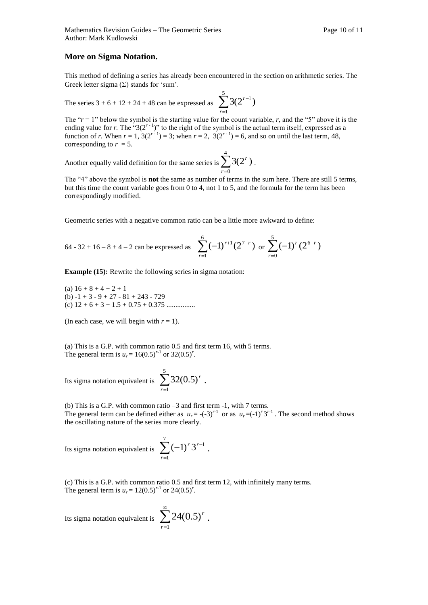## **More on Sigma Notation.**

This method of defining a series has already been encountered in the section on arithmetic series. The Greek letter sigma  $(\Sigma)$  stands for 'sum'.

The series 
$$
3 + 6 + 12 + 24 + 48
$$
 can be expressed as  $\sum_{r=1}^{5} 3(2^{r-1})$ 

The " $r = 1$ " below the symbol is the starting value for the count variable,  $r$ , and the "5" above it is the ending value for *r*. The " $3(2^{r-1})$ " to the right of the symbol is the actual term itself, expressed as a function of *r*. When  $r = 1$ ,  $3(2^{r-1}) = 3$ ; when  $r = 2$ ,  $3(2^{r-1}) = 6$ , and so on until the last term, 48, corresponding to  $r = 5$ .

Another equally valid definition for the same series is  $\sum_{r=0}^{4}$  $\mathbf{0}$  $3(2^r)$ *r r* .

The "4" above the symbol is **not** the same as number of terms in the sum here. There are still 5 terms, but this time the count variable goes from 0 to 4, not 1 to 5, and the formula for the term has been correspondingly modified.

Geometric series with a negative common ratio can be a little more awkward to define:

64 - 32 + 16 - 8 + 4 - 2 can be expressed as 
$$
\sum_{r=1}^{6} (-1)^{r+1} (2^{7-r}) \text{ or } \sum_{r=0}^{5} (-1)^{r} (2^{6-r})
$$

**Example (15):** Rewrite the following series in sigma notation:

(a)  $16 + 8 + 4 + 2 + 1$ (b)  $-1 + 3 - 9 + 27 - 81 + 243 - 729$ (c) 12 + 6 + 3 + 1.5 + 0.75 + 0.375 ................

(In each case, we will begin with  $r = 1$ ).

(a) This is a G.P. with common ratio 0.5 and first term 16, with 5 terms. The general term is  $u_r = 16(0.5)^{r-1}$  or 32(0.5)<sup>*r*</sup>.

Its sigma notation equivalent is 
$$
\sum_{r=1}^{5} 32(0.5)^r
$$
.

(b) This is a G.P. with common ratio –3 and first term -1, with 7 terms. The general term can be defined either as  $u_r = -(-3)^{r-1}$  or as  $u_r = (-1)^r 3^{r-1}$ . The second method shows the oscillating nature of the series more clearly.

Its sigma notation equivalent is  $\sum_{r=1}^{\infty} (-1)^r 3^{r-1}$ 7 1 *r*

(c) This is a G.P. with common ratio 0.5 and first term 12, with infinitely many terms. The general term is  $u_r = 12(0.5)^{r-1}$  or  $24(0.5)^r$ .

 $(-1)^r 3^{r-1}$ 

 $r \cdot 3^{r-1}$ .

Its sigma notation equivalent is  $\sum_{n=1}^{\infty}$  $=1$ 24(0.5) *r r* **.**